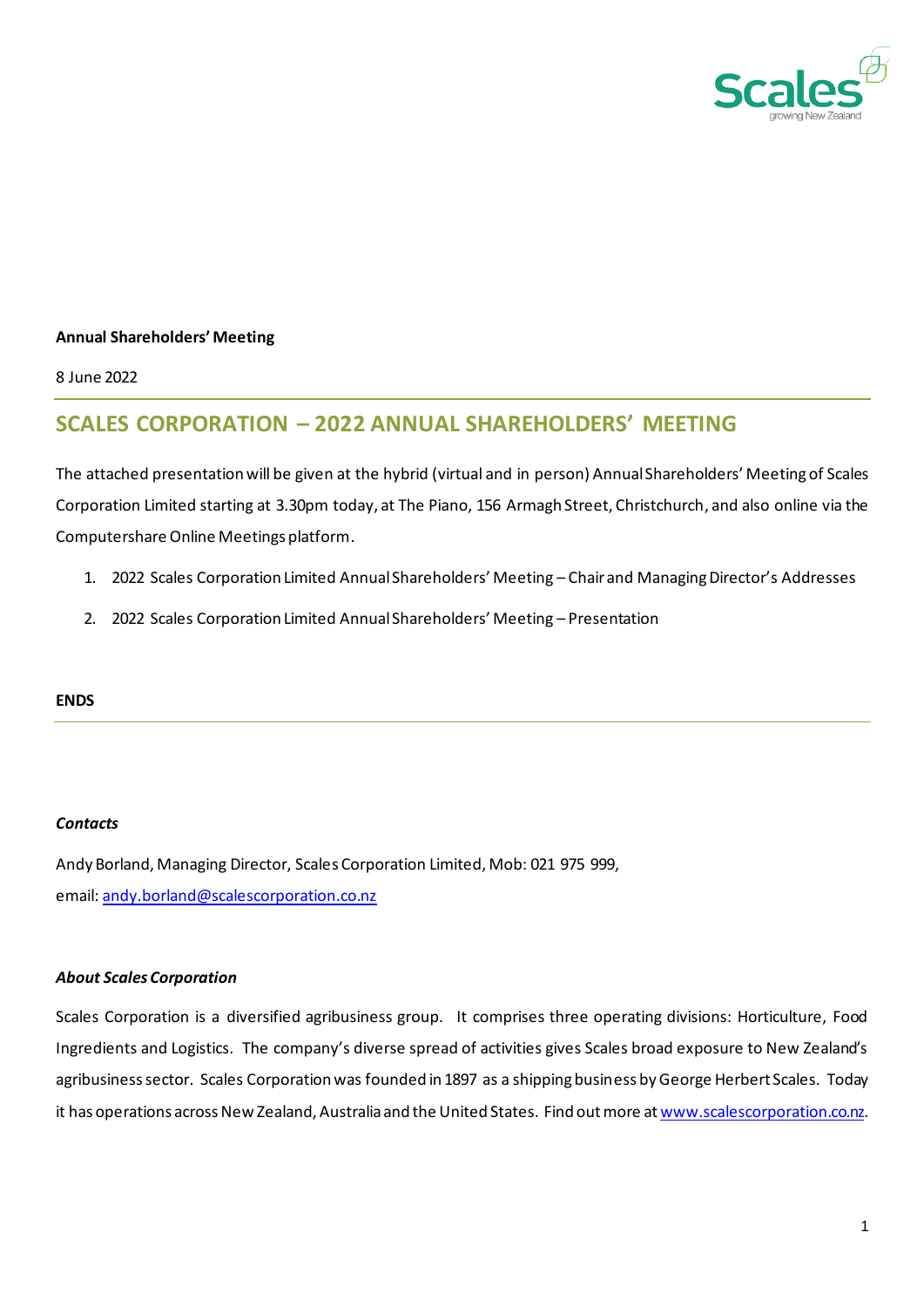

#### **Annual Shareholders' Meeting**

8 June 2022

# **SCALES CORPORATION – 2022 ANNUAL SHAREHOLDERS' MEETING**

The attached presentation will be given at the hybrid (virtual and in person) Annual Shareholders' Meeting of Scales Corporation Limited starting at 3.30pm today, at The Piano, 156 Armagh Street, Christchurch, and also online via the Computershare Online Meetings platform.

- 1. 2022 Scales Corporation Limited Annual Shareholders' Meeting Chair and Managing Director's Addresses
- 2. 2022 Scales Corporation Limited Annual Shareholders' Meeting Presentation

#### **ENDS**

#### *Contacts*

Andy Borland, Managing Director, Scales Corporation Limited, Mob: 021 975 999, email: [andy.borland@scalescorporation.co.nz](mailto:andy.borland@scalescorporation.co.nz)

#### *About Scales Corporation*

Scales Corporation is a diversified agribusiness group. It comprises three operating divisions: Horticulture, Food Ingredients and Logistics. The company's diverse spread of activities gives Scales broad exposure to New Zealand's agribusiness sector. Scales Corporation was founded in 1897 as a shipping business by George Herbert Scales. Today it has operations across New Zealand, Australia and the United States. Find out more a[t www.scalescorporation.co.nz.](http://www.scalescorporation.co.nz/)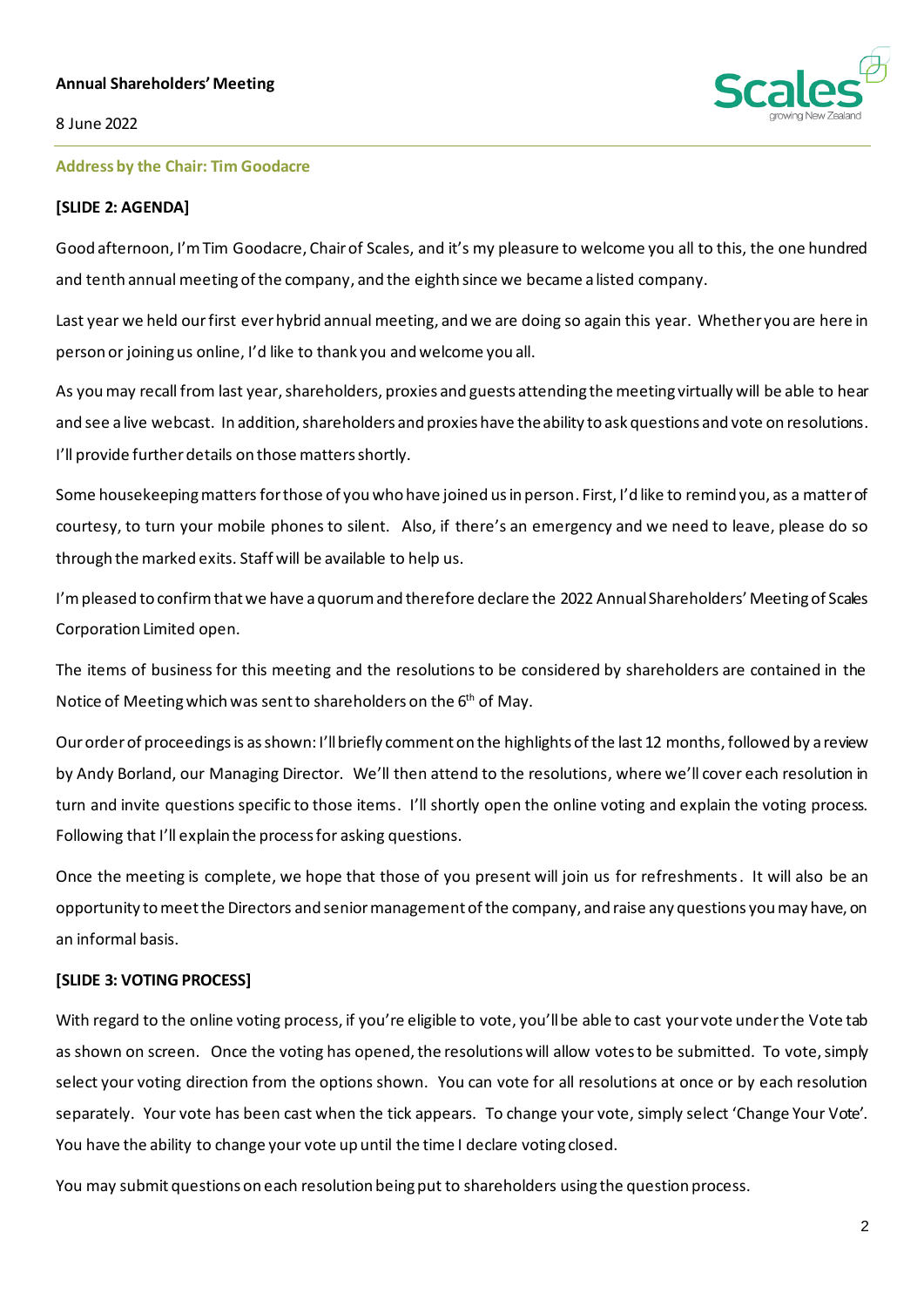#### **Annual Shareholders' Meeting**



#### 8 June 2022

#### **Address by the Chair: Tim Goodacre**

#### **[SLIDE 2: AGENDA]**

Good afternoon, I'mTim Goodacre, Chairof Scales, and it's my pleasure to welcome you all to this, the one hundred and tenth annual meeting of the company, and the eighth since we became a listed company.

Last year we held our first ever hybrid annual meeting, and we are doing so again this year. Whether you are here in person or joining us online, I'd like to thank you and welcome you all.

As you may recall from last year, shareholders, proxies and guests attending the meeting virtually will be able to hear and see a live webcast. In addition, shareholders and proxies have the ability to ask questions and vote on resolutions. I'll provide further details on those matters shortly.

Some housekeeping matters for those of you who have joined us in person. First, I'd like to remind you, as a matter of courtesy, to turn your mobile phones to silent. Also, if there's an emergency and we need to leave, please do so through the marked exits. Staff will be available to help us.

I'mpleased to confirm that we have a quorum and therefore declare the 2022 Annual Shareholders' Meeting of Scales Corporation Limited open.

The items of business for this meeting and the resolutions to be considered by shareholders are contained in the Notice of Meeting which was sent to shareholders on the 6<sup>th</sup> of May.

Our order of proceedings is as shown: I'll briefly comment on the highlights of the last 12 months, followed by a review by Andy Borland, our Managing Director. We'll then attend to the resolutions, where we'll cover each resolution in turn and invite questions specific to those items. I'll shortly open the online voting and explain the voting process. Following that I'll explain the process for asking questions.

Once the meeting is complete, we hope that those of you present will join us for refreshments. It will also be an opportunity to meet the Directors and senior management of the company, and raise any questions you may have, on an informal basis.

#### **[SLIDE 3: VOTING PROCESS]**

With regard to the online voting process, if you're eligible to vote, you'll be able to cast your vote under the Vote tab as shown on screen. Once the voting has opened, the resolutions will allow votes to be submitted. To vote, simply select your voting direction from the options shown. You can vote for all resolutions at once or by each resolution separately. Your vote has been cast when the tick appears. To change your vote, simply select 'Change Your Vote'. You have the ability to change your vote up until the time I declare voting closed.

You may submit questions on each resolution being put to shareholders using the question process.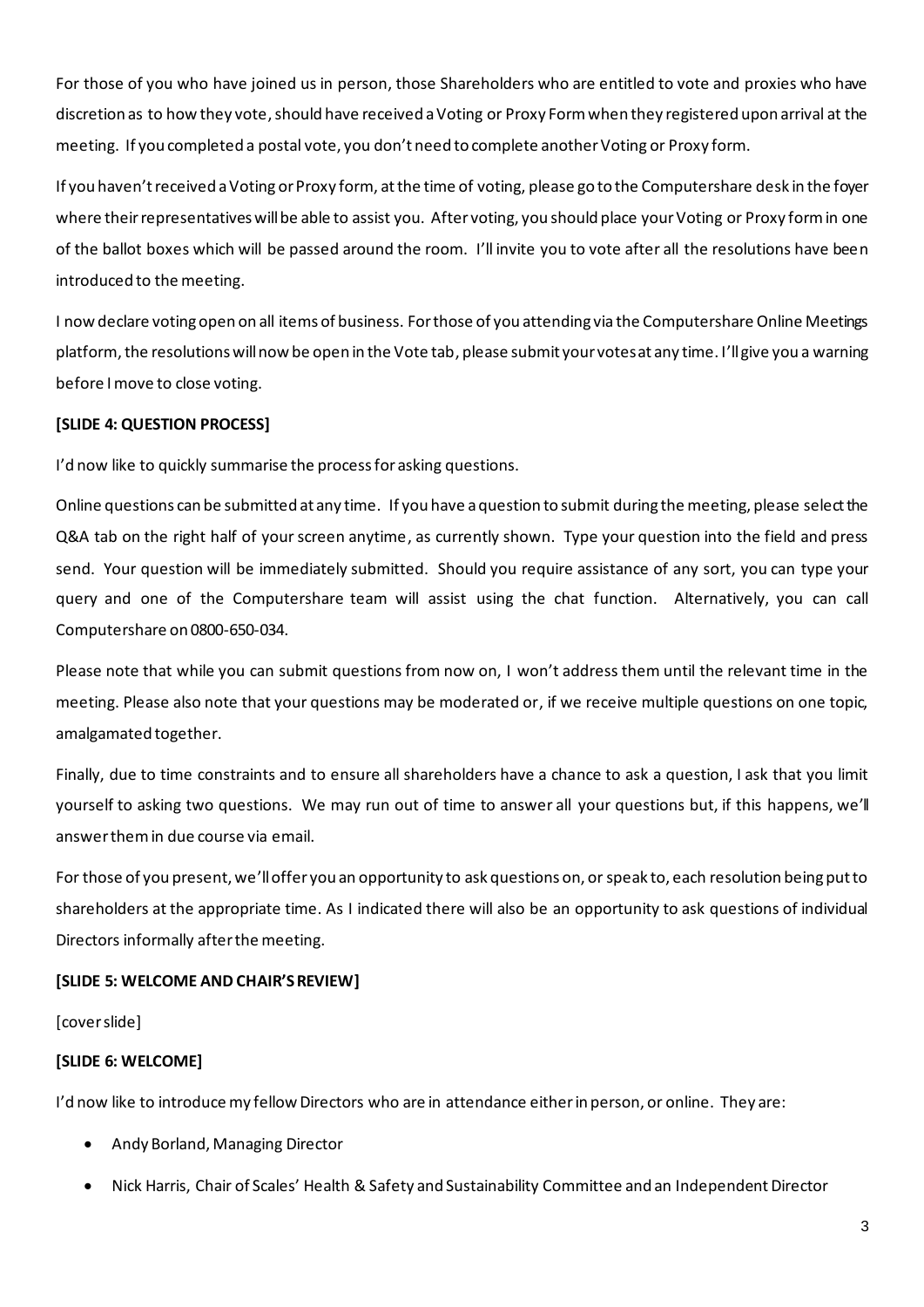For those of you who have joined us in person, those Shareholders who are entitled to vote and proxies who have discretion as to how they vote, should have received a Voting or Proxy Form when they registered upon arrival at the meeting. If you completed a postal vote, you don't need to complete another Voting or Proxy form.

If you haven't received a Voting or Proxy form, at the time of voting, please go to the Computershare desk in the foyer where their representatives will be able to assist you. After voting, you should place your Voting or Proxy form in one of the ballot boxes which will be passed around the room. I'll invite you to vote after all the resolutions have been introduced to the meeting.

I now declare voting open on all items of business. For those of you attending via the Computershare Online Meetings platform, the resolutions will now be open in the Vote tab, please submit your votes at any time. I'll give you a warning before I move to close voting.

# **[SLIDE 4: QUESTION PROCESS]**

I'd now like to quickly summarise the process for asking questions.

Online questions can be submitted at any time. If you have a question to submit during the meeting, please select the Q&A tab on the right half of your screen anytime, as currently shown. Type your question into the field and press send. Your question will be immediately submitted. Should you require assistance of any sort, you can type your query and one of the Computershare team will assist using the chat function. Alternatively, you can call Computershare on 0800-650-034.

Please note that while you can submit questions from now on, I won't address them until the relevant time in the meeting. Please also note that your questions may be moderated or, if we receive multiple questions on one topic, amalgamated together.

Finally, due to time constraints and to ensure all shareholders have a chance to ask a question, I ask that you limit yourself to asking two questions. We may run out of time to answer all your questions but, if this happens, we'll answer them in due course via email.

For those of you present, we'll offer you an opportunity to ask questions on, or speak to, each resolution being put to shareholders at the appropriate time. As I indicated there will also be an opportunity to ask questions of individual Directors informally after the meeting.

# **[SLIDE 5: WELCOME AND CHAIR'S REVIEW]**

[cover slide]

# **[SLIDE 6: WELCOME]**

I'd now like to introduce my fellow Directors who are in attendance either in person, or online. They are:

- Andy Borland, Managing Director
- Nick Harris, Chair of Scales' Health & Safety and Sustainability Committee and an Independent Director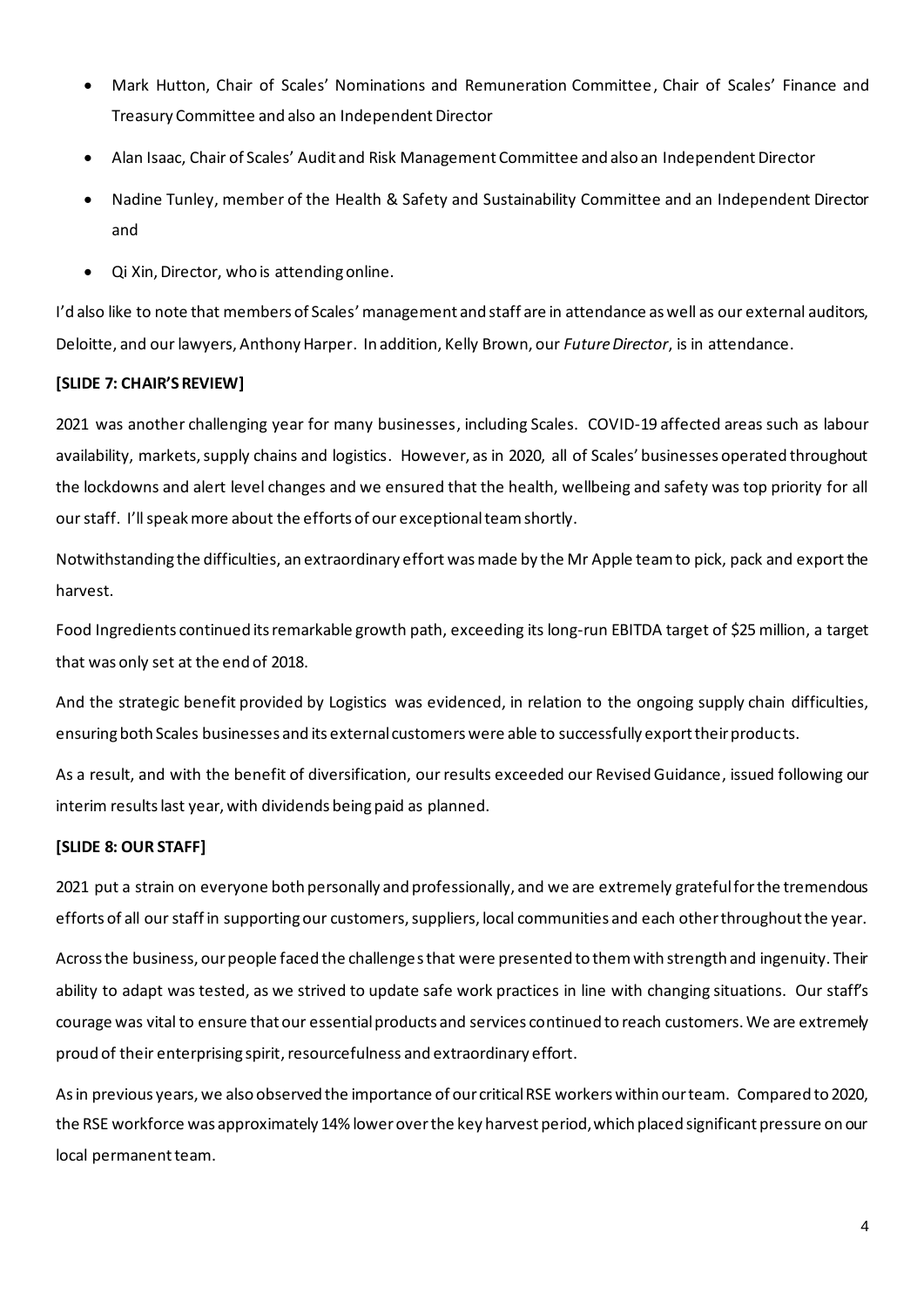- Mark Hutton, Chair of Scales' Nominations and Remuneration Committee, Chair of Scales' Finance and Treasury Committee and also an Independent Director
- Alan Isaac, Chair of Scales' Audit and Risk Management Committee and also an Independent Director
- Nadine Tunley, member of the Health & Safety and Sustainability Committee and an Independent Director and
- Qi Xin, Director, who is attending online.

I'd also like to note that members of Scales' management and staff are in attendance as well as our external auditors, Deloitte, and our lawyers, Anthony Harper. In addition, Kelly Brown, our *Future Director*, is in attendance.

# **[SLIDE 7: CHAIR'SREVIEW]**

2021 was another challenging year for many businesses, including Scales. COVID-19 affected areas such as labour availability, markets, supply chains and logistics. However, as in 2020, all of Scales' businesses operated throughout the lockdowns and alert level changes and we ensured that the health, wellbeing and safety was top priority for all our staff. I'll speak more about the efforts of our exceptional team shortly.

Notwithstanding the difficulties, an extraordinary effort was made by the Mr Apple team to pick, pack and exportthe harvest.

Food Ingredients continued its remarkable growth path, exceeding its long-run EBITDA target of \$25 million, a target that was only set at the end of 2018.

And the strategic benefit provided by Logistics was evidenced, in relation to the ongoing supply chain difficulties, ensuring both Scales businesses and its external customers were able to successfully export their products.

As a result, and with the benefit of diversification, our results exceeded our Revised Guidance, issued following our interim results last year, with dividends being paid as planned.

# **[SLIDE 8: OUR STAFF]**

2021 put a strain on everyone both personally and professionally, and we are extremely grateful for the tremendous efforts of all our staff in supporting our customers, suppliers, local communities and each other throughout the year.

Across the business, our people faced the challenges that were presented to them with strength and ingenuity. Their ability to adapt was tested, as we strived to update safe work practices in line with changing situations. Our staff's courage was vital to ensure that our essential products and services continued to reach customers. We are extremely proud of their enterprising spirit, resourcefulness and extraordinary effort.

As in previous years, we also observed the importance of our critical RSE workers within our team. Compared to 2020, the RSE workforce was approximately 14% lower over the key harvest period, which placed significant pressure on our local permanent team.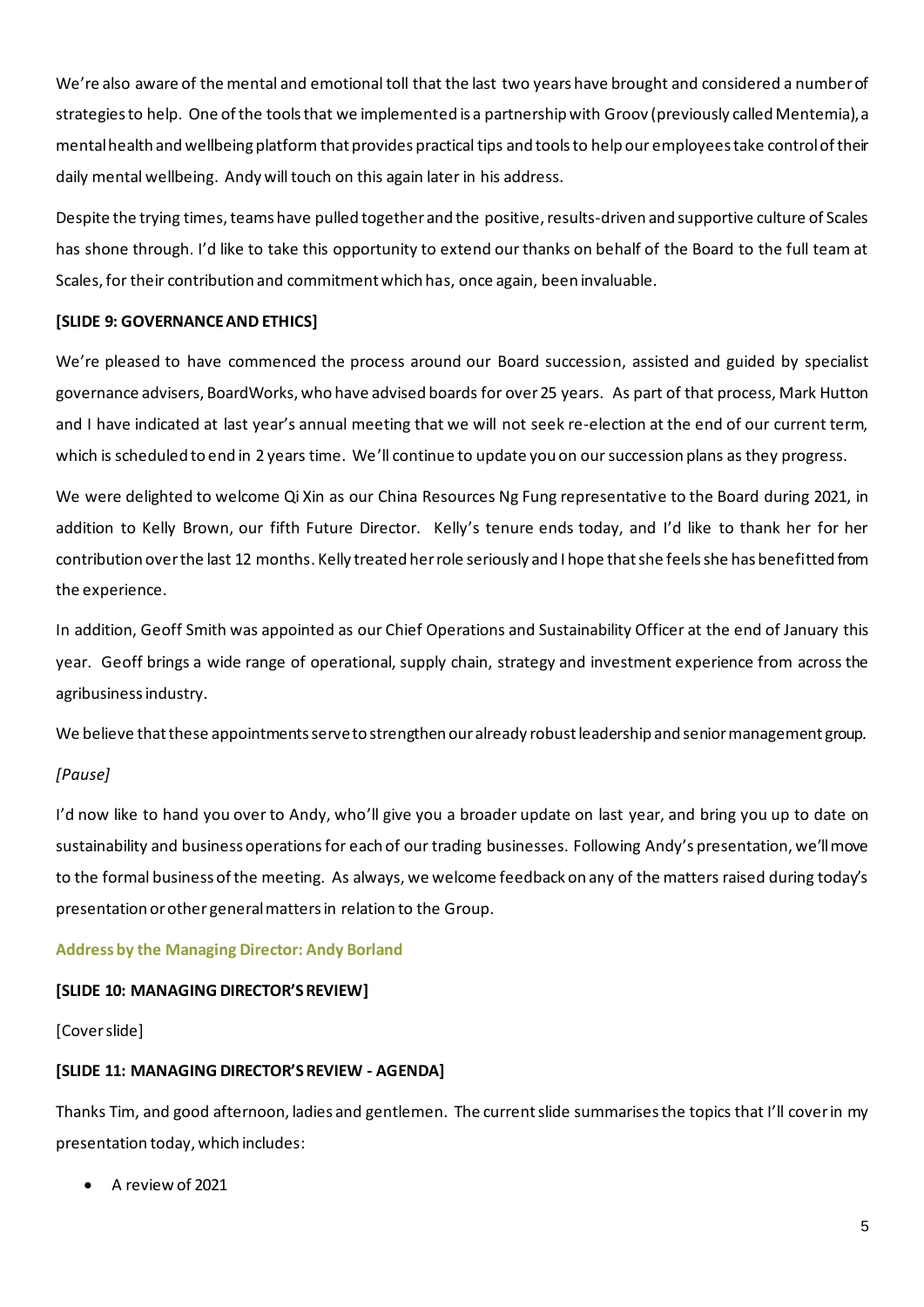We're also aware of the mental and emotional toll that the last two years have brought and considered a number of strategies to help. One of the tools that we implemented is a partnership with Groov (previously called Mentemia), a mental health and wellbeing platform that provides practical tips and tools to help our employees take control of their daily mental wellbeing. Andy will touch on this again later in his address.

Despite the trying times, teams have pulled together and the positive, results-driven and supportive culture of Scales has shone through. I'd like to take this opportunity to extend our thanks on behalf of the Board to the full team at Scales, for their contribution and commitment which has, once again, been invaluable.

### **[SLIDE 9: GOVERNANCEAND ETHICS]**

We're pleased to have commenced the process around our Board succession, assisted and guided by specialist governance advisers, BoardWorks, who have advised boards for over 25 years. As part of that process, Mark Hutton and I have indicated at last year's annual meeting that we will not seek re-election at the end of our current term, which is scheduled to end in 2 years time. We'll continue to update you on our succession plans as they progress.

We were delighted to welcome Qi Xin as our China Resources Ng Fung representative to the Board during 2021, in addition to Kelly Brown, our fifth Future Director. Kelly's tenure ends today, and I'd like to thank her for her contribution over the last 12 months. Kelly treated her role seriously and I hope that she feels she has benefitted from the experience.

In addition, Geoff Smith was appointed as our Chief Operations and Sustainability Officer at the end of January this year. Geoff brings a wide range of operational, supply chain, strategy and investment experience from across the agribusiness industry.

We believe that these appointments serve to strengthen our already robust leadership and senior management group.

# *[Pause]*

I'd now like to hand you over to Andy, who'll give you a broader update on last year, and bring you up to date on sustainability and business operations for each of our trading businesses. Following Andy's presentation, we'll move to the formal business of the meeting. As always, we welcome feedback on any of the matters raised during today's presentation or other general matters in relation to the Group.

# **Address by the Managing Director: Andy Borland**

#### **[SLIDE 10: MANAGING DIRECTOR'S REVIEW]**

#### [Cover slide]

# **[SLIDE 11: MANAGING DIRECTOR'S REVIEW - AGENDA]**

Thanks Tim, and good afternoon, ladies and gentlemen. The current slide summarises the topics that I'll cover in my presentation today, which includes:

• A review of 2021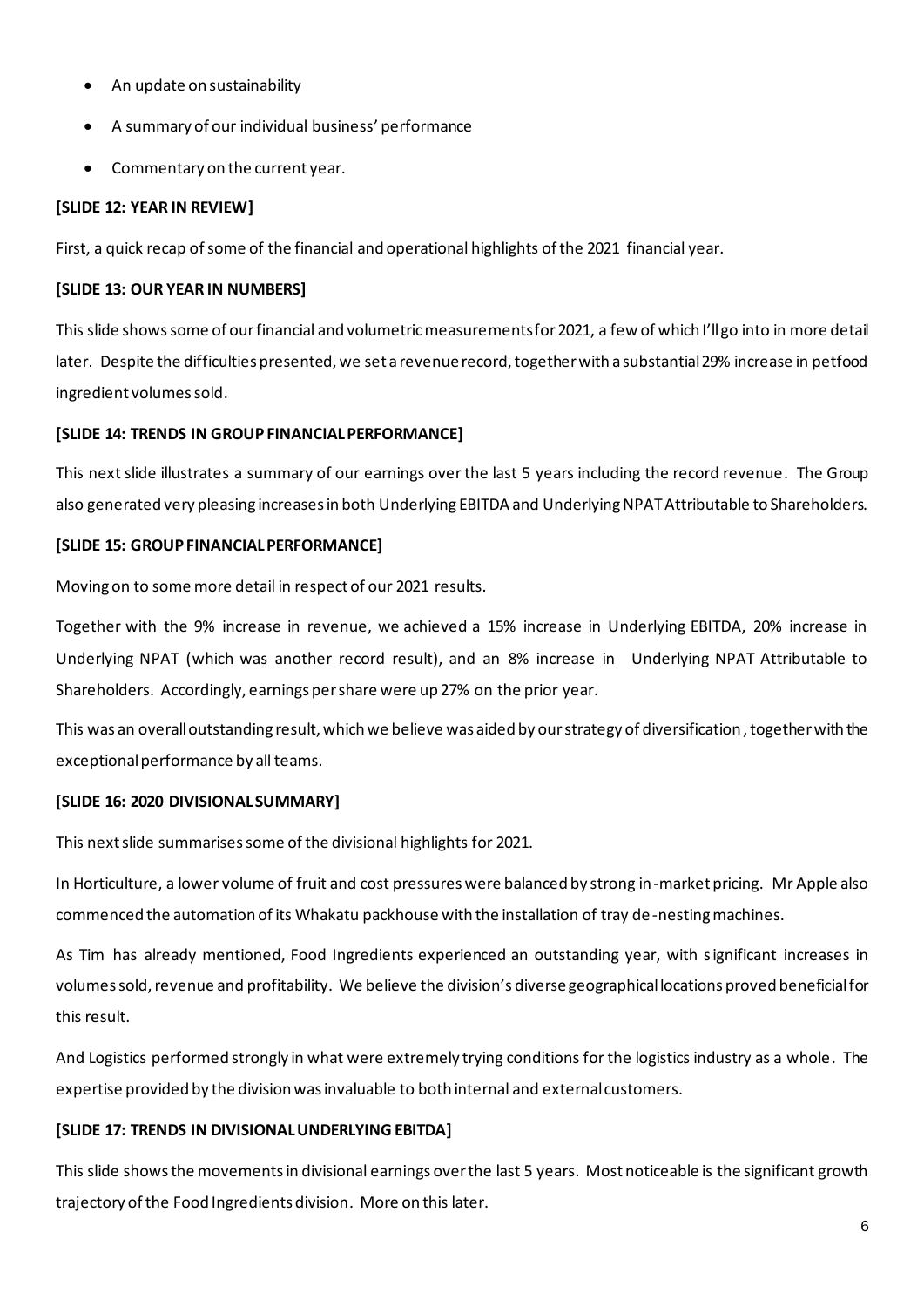- An update on sustainability
- A summary of our individual business' performance
- Commentary on the current year.

# **[SLIDE 12: YEAR IN REVIEW]**

First, a quick recap of some of the financial and operational highlights of the 2021 financial year.

# **[SLIDE 13: OUR YEAR IN NUMBERS]**

This slide shows some of our financial and volumetric measurements for 2021, a few of which I'll go into in more detail later. Despite the difficulties presented, we set a revenue record, together with a substantial 29% increase in petfood ingredient volumes sold.

# **[SLIDE 14: TRENDS IN GROUP FINANCIAL PERFORMANCE]**

This next slide illustrates a summary of our earnings over the last 5 years including the record revenue. The Group also generated very pleasing increases in both Underlying EBITDA and Underlying NPAT Attributable to Shareholders.

# **[SLIDE 15: GROUP FINANCIAL PERFORMANCE]**

Moving on to some more detail in respect of our 2021 results.

Together with the 9% increase in revenue, we achieved a 15% increase in Underlying EBITDA, 20% increase in Underlying NPAT (which was another record result), and an 8% increase in Underlying NPAT Attributable to Shareholders. Accordingly, earnings per share were up 27% on the prior year.

This was an overall outstanding result, which we believe was aided by our strategy of diversification,together with the exceptional performance by all teams.

# **[SLIDE 16: 2020 DIVISIONAL SUMMARY]**

This next slide summarises some of the divisional highlights for 2021.

In Horticulture, a lower volume of fruit and cost pressures were balanced by strong in-market pricing. Mr Apple also commenced the automation of its Whakatu packhouse with the installation of tray de-nesting machines.

As Tim has already mentioned, Food Ingredients experienced an outstanding year, with significant increases in volumes sold, revenue and profitability. We believe the division's diverse geographical locations proved beneficialfor this result.

And Logistics performed strongly in what were extremely trying conditions for the logistics industry as a whole. The expertise provided by the division was invaluable to both internal and external customers.

# **[SLIDE 17: TRENDS IN DIVISIONAL UNDERLYING EBITDA]**

This slide shows the movements in divisional earnings over the last 5 years. Most noticeable is the significant growth trajectory of the Food Ingredients division. More on this later.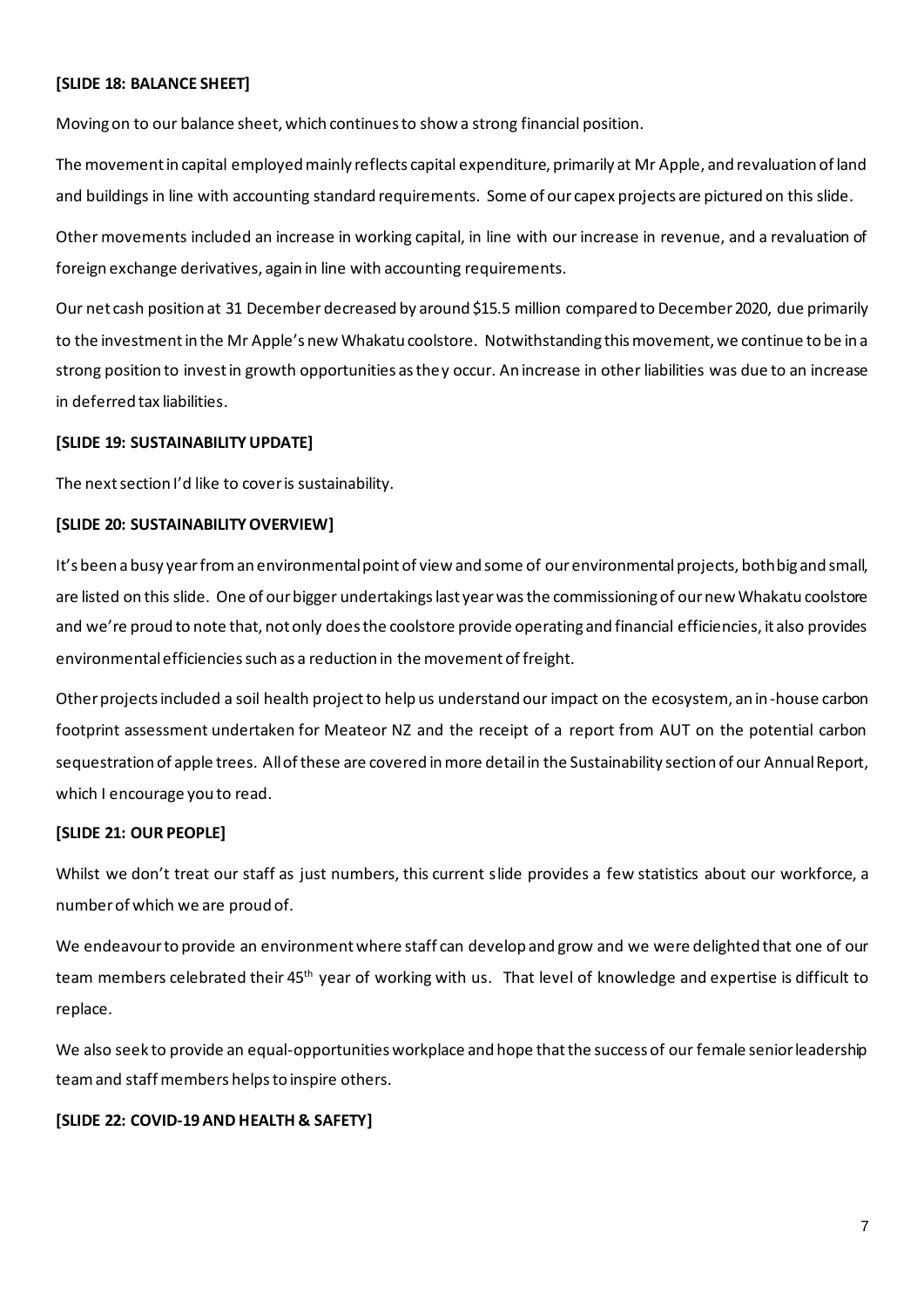# **[SLIDE 18: BALANCE SHEET]**

Moving on to our balance sheet, which continues to show a strong financial position.

The movement in capital employed mainly reflects capital expenditure, primarily at Mr Apple, and revaluation of land and buildings in line with accounting standard requirements. Some of our capex projects are pictured on this slide.

Other movements included an increase in working capital, in line with our increase in revenue, and a revaluation of foreign exchange derivatives, again in line with accounting requirements.

Our net cash position at 31 December decreased by around \$15.5 million compared to December 2020, due primarily to the investment in the Mr Apple's new Whakatu coolstore. Notwithstanding this movement, we continue to be in a strong position to invest in growth opportunities as they occur. An increase in other liabilities was due to an increase in deferred tax liabilities.

#### **[SLIDE 19: SUSTAINABILITY UPDATE]**

The next section I'd like to cover is sustainability.

### **[SLIDE 20: SUSTAINABILITYOVERVIEW]**

It's been a busy year from an environmental point of view and some of our environmental projects, both big and small, are listed on this slide. One of our bigger undertakings last year was the commissioning of our new Whakatu coolstore and we're proud to note that, not only does the coolstore provide operating and financial efficiencies, it also provides environmental efficiencies such as a reduction in the movement of freight.

Other projects included a soil health project to help us understand our impact on the ecosystem, an in-house carbon footprint assessment undertaken for Meateor NZ and the receipt of a report from AUT on the potential carbon sequestration of apple trees. All of these are covered in more detail in the Sustainability section of our Annual Report, which I encourage you to read.

# **[SLIDE 21: OUR PEOPLE]**

Whilst we don't treat our staff as just numbers, this current slide provides a few statistics about our workforce, a number of which we are proud of.

We endeavour to provide an environment where staff can develop and grow and we were delighted that one of our team members celebrated their 45<sup>th</sup> year of working with us. That level of knowledge and expertise is difficult to replace.

We also seek to provide an equal-opportunities workplace and hope that the success of our female senior leadership team and staff members helps to inspire others.

# **[SLIDE 22: COVID-19 AND HEALTH & SAFETY]**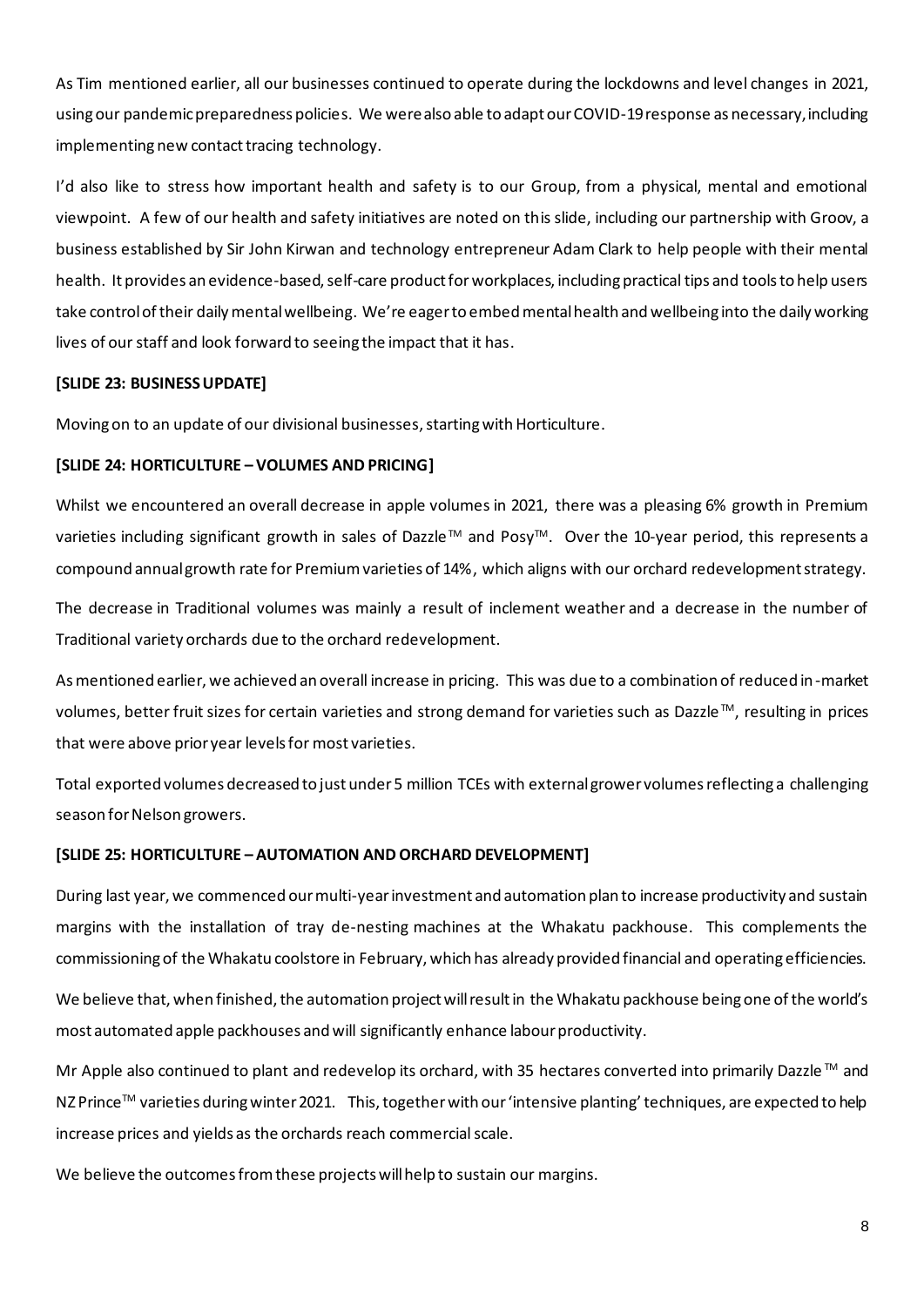As Tim mentioned earlier, all our businesses continued to operate during the lockdowns and level changes in 2021, using our pandemic preparedness policies. We were also able to adapt our COVID-19 response as necessary, including implementing new contact tracing technology.

I'd also like to stress how important health and safety is to our Group, from a physical, mental and emotional viewpoint. A few of our health and safety initiatives are noted on this slide, including our partnership with Groov, a business established by Sir John Kirwan and technology entrepreneur Adam Clark to help people with their mental health. It provides an evidence-based, self-care product forworkplaces, including practical tips and tools to help users take control of their daily mental wellbeing. We're eager to embed mental health and wellbeing into the daily working lives of our staff and look forward to seeing the impact that it has.

### **[SLIDE 23: BUSINESSUPDATE]**

Moving on to an update of our divisional businesses, starting with Horticulture.

#### **[SLIDE 24: HORTICULTURE – VOLUMES AND PRICING]**

Whilst we encountered an overall decrease in apple volumes in 2021, there was a pleasing 6% growth in Premium varieties including significant growth in sales of Dazzle™ and Posy<sup>™</sup>. Over the 10-year period, this represents a compound annual growth rate for Premium varieties of 14%, which aligns with our orchard redevelopment strategy.

The decrease in Traditional volumes was mainly a result of inclement weather and a decrease in the number of Traditional variety orchards due to the orchard redevelopment.

As mentioned earlier, we achieved an overall increase in pricing. This was due to a combination of reduced in-market volumes, better fruit sizes for certain varieties and strong demand for varieties such as Dazzle™, resulting in prices that were above prior year levels for most varieties.

Total exported volumes decreased to just under 5 million TCEs with external grower volumes reflecting a challenging season for Nelson growers.

#### **[SLIDE 25: HORTICULTURE – AUTOMATION AND ORCHARD DEVELOPMENT]**

During last year, we commenced our multi-year investment and automation plan to increase productivity and sustain margins with the installation of tray de-nesting machines at the Whakatu packhouse. This complements the commissioning of the Whakatu coolstore in February, which has already provided financial and operating efficiencies.

We believe that, when finished, the automation project will result in the Whakatu packhouse being one of the world's most automated apple packhouses and will significantly enhance labour productivity.

Mr Apple also continued to plant and redevelop its orchard, with 35 hectares converted into primarily Dazzle™ and NZ Prince™ varieties during winter 2021. This, together with our 'intensive planting' techniques, are expected to help increase prices and yields as the orchards reach commercial scale.

We believe the outcomes from these projects will help to sustain our margins.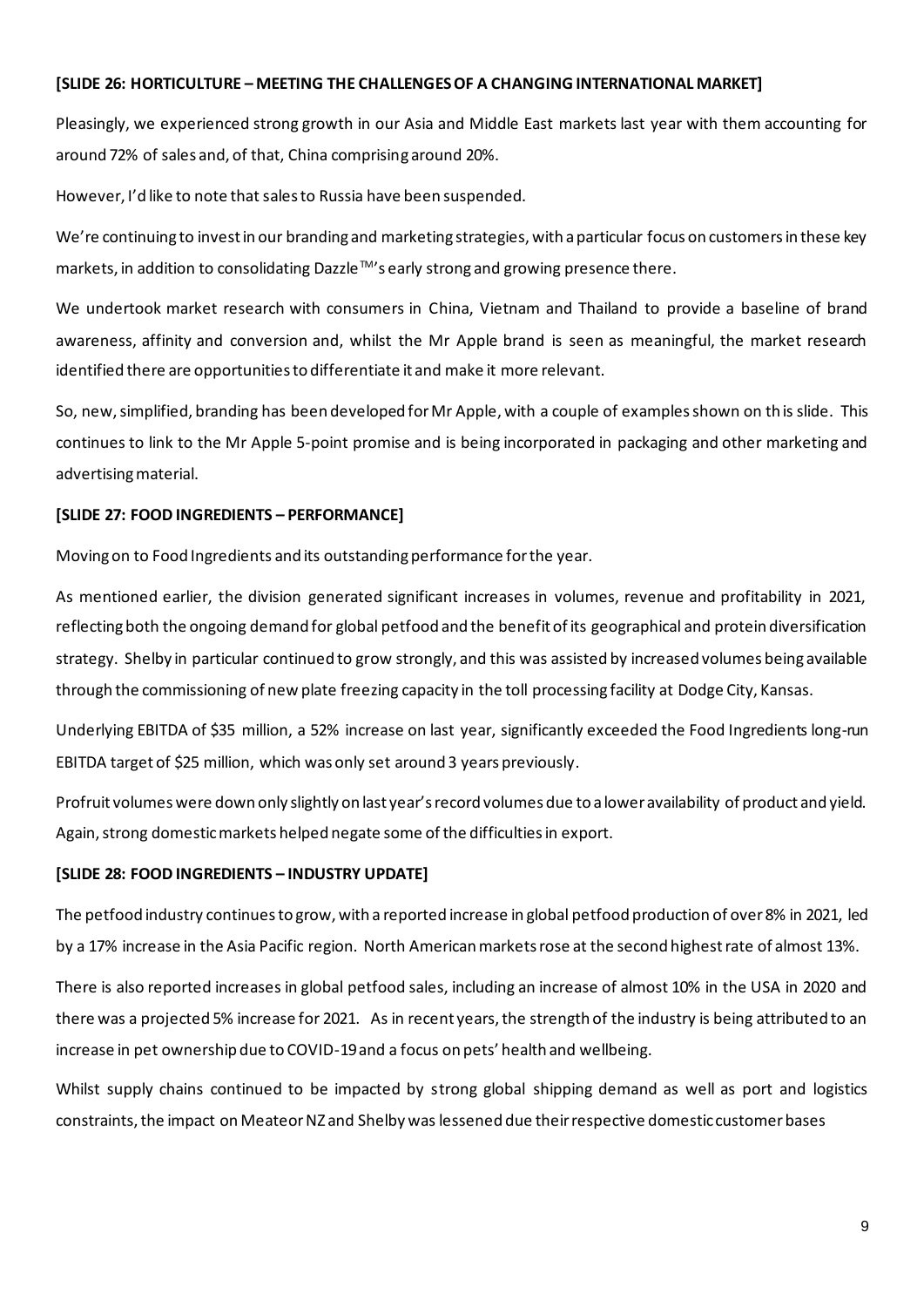#### **[SLIDE 26: HORTICULTURE – MEETING THE CHALLENGES OF A CHANGING INTERNATIONAL MARKET]**

Pleasingly, we experienced strong growth in our Asia and Middle East markets last year with them accounting for around 72% of sales and, of that, China comprising around 20%.

However, I'd like to note that sales to Russia have been suspended.

We're continuing to invest in our branding and marketing strategies, with a particular focus on customers in these key markets, in addition to consolidating Dazzle™'s early strong and growing presence there.

We undertook market research with consumers in China, Vietnam and Thailand to provide a baseline of brand awareness, affinity and conversion and, whilst the Mr Apple brand is seen as meaningful, the market research identified there are opportunities to differentiate it and make it more relevant.

So, new, simplified, branding has been developed for Mr Apple, with a couple of examples shown on this slide. This continues to link to the Mr Apple 5-point promise and is being incorporated in packaging and other marketing and advertising material.

# **[SLIDE 27: FOOD INGREDIENTS – PERFORMANCE]**

Moving on to Food Ingredients and its outstanding performance for the year.

As mentioned earlier, the division generated significant increases in volumes, revenue and profitability in 2021, reflecting both the ongoing demand for global petfood and the benefit of its geographical and protein diversification strategy. Shelby in particular continued to grow strongly, and this was assisted by increased volumes being available through the commissioning of new plate freezing capacity in the toll processing facility at Dodge City, Kansas.

Underlying EBITDA of \$35 million, a 52% increase on last year, significantly exceeded the Food Ingredients long-run EBITDA target of \$25 million, which was only set around 3 years previously.

Profruit volumes were down only slightly on last year's record volumes due to a lower availability of product and yield. Again, strong domestic markets helped negate some of the difficulties in export.

# **[SLIDE 28: FOOD INGREDIENTS – INDUSTRY UPDATE]**

The petfood industry continues to grow, with a reported increase in global petfood production of over 8% in 2021, led by a 17% increase in the Asia Pacific region. North American markets rose at the second highest rate of almost 13%.

There is also reported increases in global petfood sales, including an increase of almost 10% in the USA in 2020 and there was a projected 5% increase for 2021. As in recent years, the strength of the industry is being attributed to an increase in pet ownership due to COVID-19 and a focus on pets' health and wellbeing.

Whilst supply chains continued to be impacted by strong global shipping demand as well as port and logistics constraints, the impact on Meateor NZ and Shelby was lessened due their respective domestic customer bases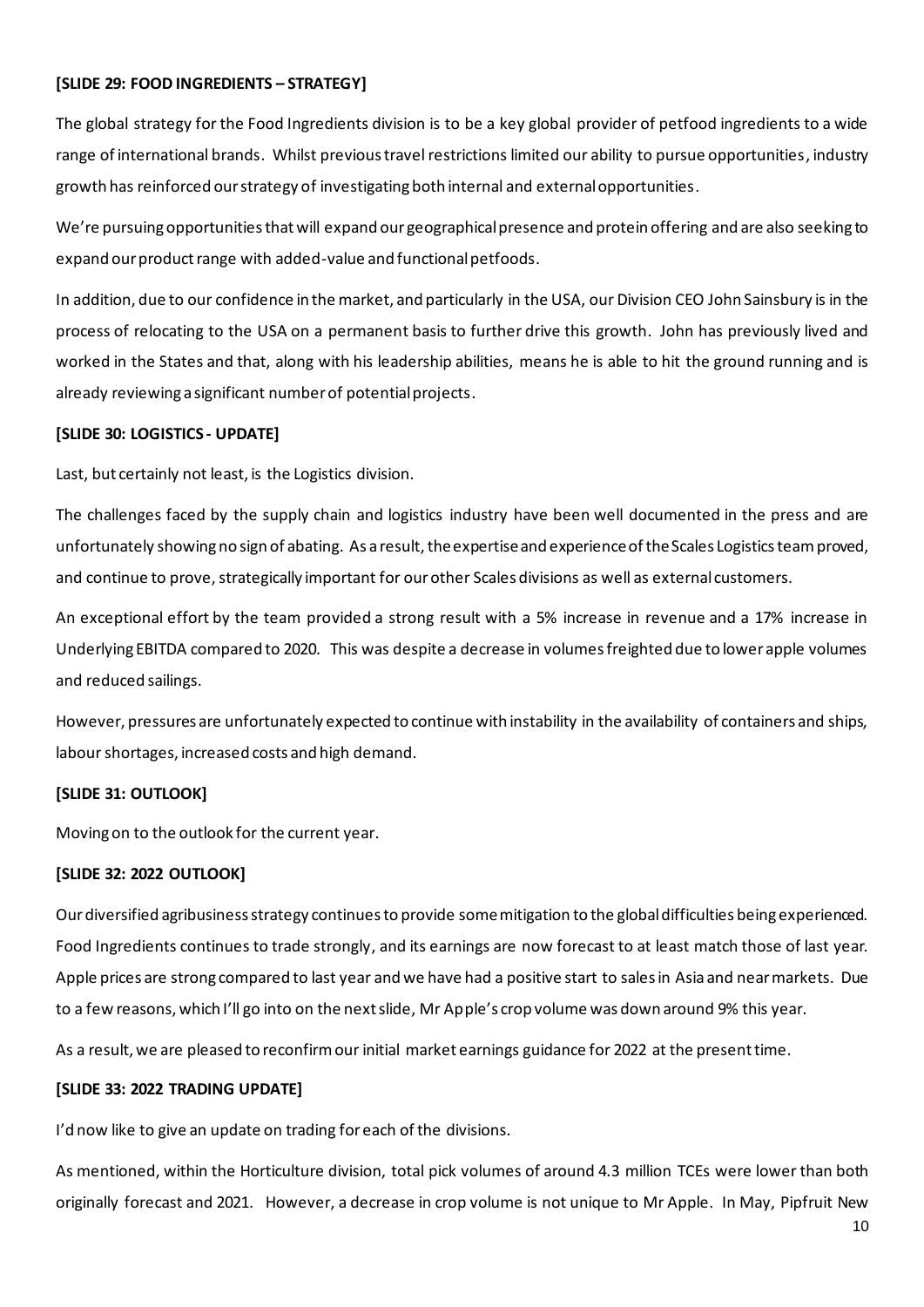### **[SLIDE 29: FOOD INGREDIENTS – STRATEGY]**

The global strategy for the Food Ingredients division is to be a key global provider of petfood ingredients to a wide range of international brands. Whilst previous travel restrictions limited our ability to pursue opportunities, industry growth has reinforced our strategy of investigating both internal and external opportunities.

We're pursuing opportunities that will expand our geographical presence and protein offering and are also seeking to expand our product range with added-value and functional petfoods.

In addition, due to our confidence in the market, and particularly in the USA, our Division CEO John Sainsbury is in the process of relocating to the USA on a permanent basis to further drive this growth. John has previously lived and worked in the States and that, along with his leadership abilities, means he is able to hit the ground running and is already reviewing a significant number of potential projects.

#### **[SLIDE 30: LOGISTICS - UPDATE]**

Last, but certainly not least, is the Logistics division.

The challenges faced by the supply chain and logistics industry have been well documented in the press and are unfortunately showing no sign of abating. As a result, the expertise and experience of the Scales Logistics team proved, and continue to prove, strategically important for our other Scales divisions as well as external customers.

An exceptional effort by the team provided a strong result with a 5% increase in revenue and a 17% increase in Underlying EBITDA compared to 2020. This was despite a decrease in volumes freighted due to lower apple volumes and reduced sailings.

However, pressures are unfortunately expected to continue with instability in the availability of containers and ships, labour shortages, increased costs and high demand.

# **[SLIDE 31: OUTLOOK]**

Moving on to the outlook for the current year.

# **[SLIDE 32: 2022 OUTLOOK]**

Our diversified agribusiness strategy continues to provide some mitigation to the global difficulties being experienced. Food Ingredients continues to trade strongly, and its earnings are now forecast to at least match those of last year. Apple prices are strong compared to last year and we have had a positive start to sales in Asia and near markets. Due to a few reasons, which I'll go into on the next slide, Mr Apple's crop volume was down around 9% this year.

As a result, we are pleased to reconfirm our initial market earnings guidance for 2022 at the present time.

# **[SLIDE 33: 2022 TRADING UPDATE]**

I'd now like to give an update on trading for each of the divisions.

As mentioned, within the Horticulture division, total pick volumes of around 4.3 million TCEs were lower than both originally forecast and 2021. However, a decrease in crop volume is not unique to Mr Apple. In May, Pipfruit New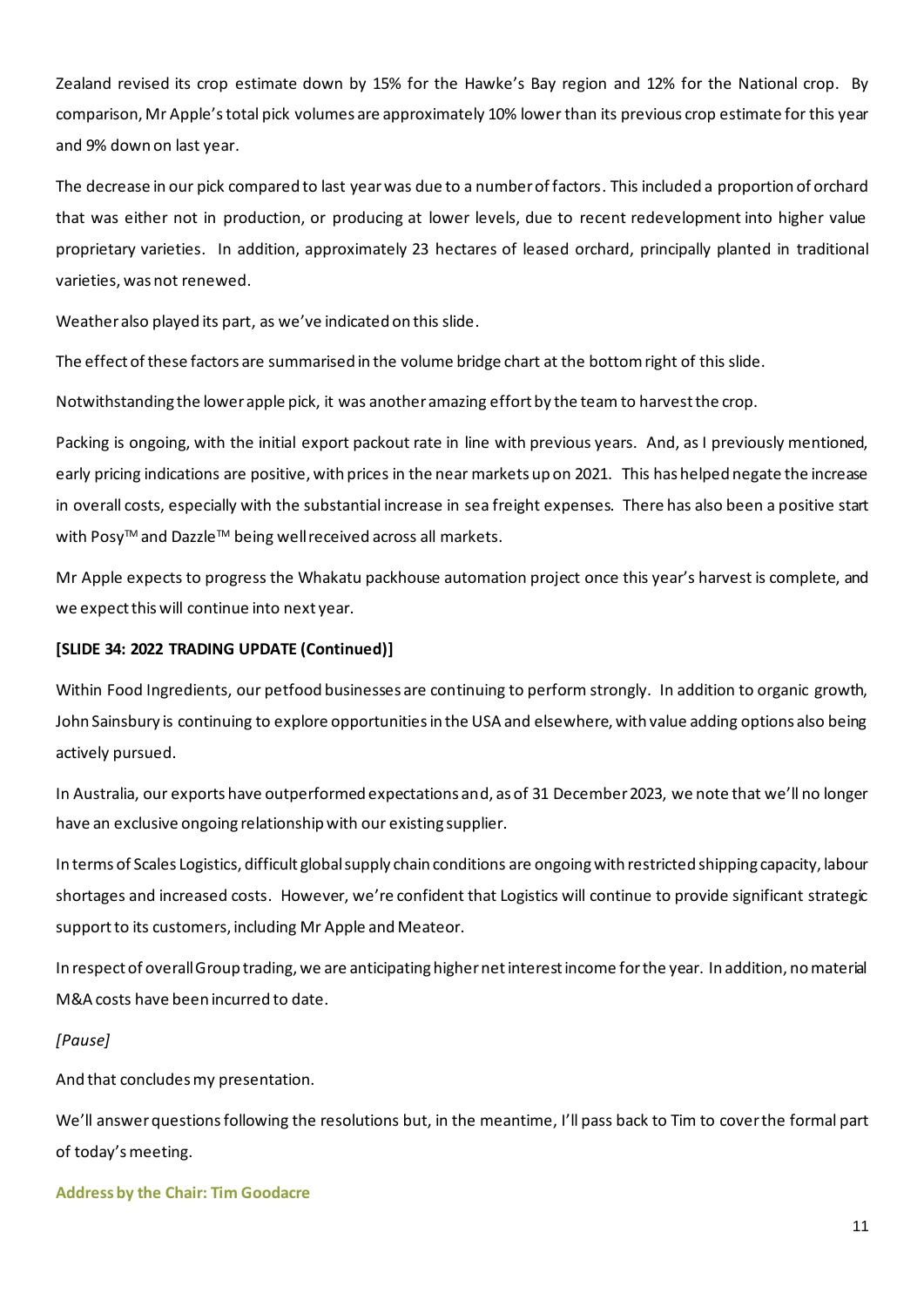Zealand revised its crop estimate down by 15% for the Hawke's Bay region and 12% for the National crop. By comparison, Mr Apple's total pick volumes are approximately 10% lower than its previous crop estimate for this year and 9% down on last year.

The decrease in our pick compared to last year was due to a number of factors. This included a proportion of orchard that was either not in production, or producing at lower levels, due to recent redevelopment into higher value proprietary varieties. In addition, approximately 23 hectares of leased orchard, principally planted in traditional varieties, was not renewed.

Weather also played its part, as we've indicated on this slide.

The effect of these factors are summarised in the volume bridge chart at the bottom right of this slide.

Notwithstanding the lower apple pick, it was another amazing effort by the team to harvest the crop.

Packing is ongoing, with the initial export packout rate in line with previous years. And, as I previously mentioned, early pricing indications are positive, with prices in the near markets up on 2021. This has helped negate the increase in overall costs, especially with the substantial increase in sea freight expenses. There has also been a positive start with Posy<sup>™</sup> and Dazzle™ being well received across all markets.

Mr Apple expects to progress the Whakatu packhouse automation project once this year's harvest is complete, and we expect this will continue into next year.

#### **[SLIDE 34: 2022 TRADING UPDATE (Continued)]**

Within Food Ingredients, our petfood businesses are continuing to perform strongly. In addition to organic growth, John Sainsbury is continuing to explore opportunities in the USA and elsewhere, with value adding options also being actively pursued.

In Australia, our exports have outperformed expectations and, as of 31 December 2023, we note that we'll no longer have an exclusive ongoing relationship with our existing supplier.

In terms of Scales Logistics, difficult global supply chain conditions are ongoing with restricted shipping capacity, labour shortages and increased costs. However, we're confident that Logistics will continue to provide significant strategic support to its customers, including Mr Apple and Meateor.

In respect of overall Group trading, we are anticipating higher net interest income for the year. In addition, no material M&A costs have been incurred to date.

#### *[Pause]*

And that concludes my presentation.

We'll answer questions following the resolutions but, in the meantime, I'll pass back to Tim to cover the formal part of today's meeting.

**Address by the Chair: Tim Goodacre**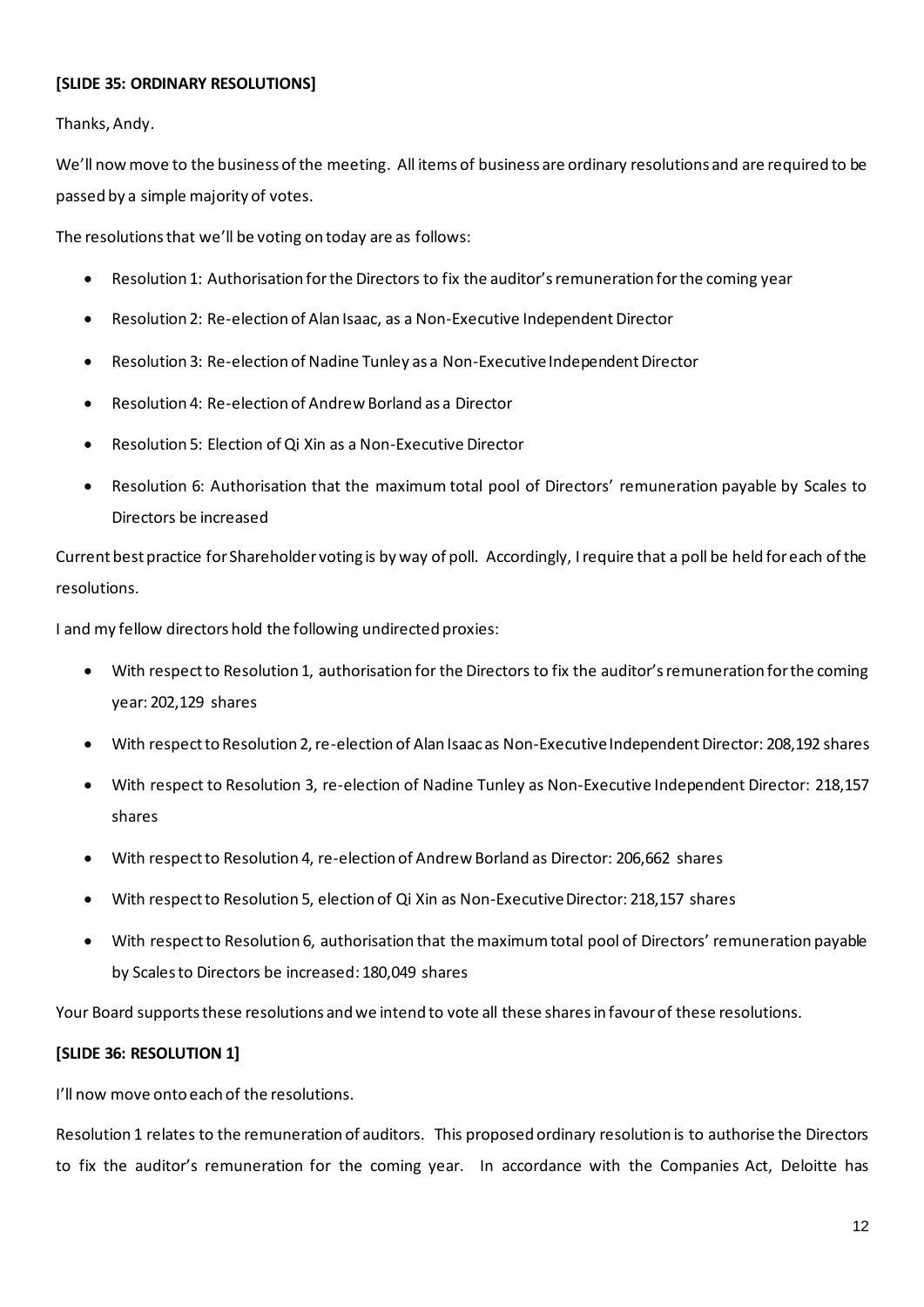# **[SLIDE 35: ORDINARY RESOLUTIONS]**

Thanks, Andy.

We'll now move to the business of the meeting. All items of business are ordinary resolutions and are required to be passed by a simple majority of votes.

The resolutions that we'll be voting on today are as follows:

- Resolution 1: Authorisation for the Directors to fix the auditor's remuneration for the coming year
- Resolution 2: Re-election of Alan Isaac, as a Non-Executive Independent Director
- Resolution 3: Re-election of Nadine Tunley as a Non-Executive Independent Director
- Resolution 4: Re-election of Andrew Borland as a Director
- Resolution 5: Election of Qi Xin as a Non-Executive Director
- Resolution 6: Authorisation that the maximum total pool of Directors' remuneration payable by Scales to Directors be increased

Current best practice for Shareholder voting is by way of poll. Accordingly, I require that a poll be held for each of the resolutions.

I and my fellow directors hold the following undirected proxies:

- With respect to Resolution 1, authorisation for the Directors to fix the auditor's remuneration for the coming year: 202,129 shares
- With respect to Resolution 2, re-election of Alan Isaacas Non-Executive Independent Director: 208,192 shares
- With respect to Resolution 3, re-election of Nadine Tunley as Non-Executive Independent Director: 218,157 shares
- With respect to Resolution 4, re-election of Andrew Borland as Director: 206,662 shares
- With respect to Resolution 5, election of Qi Xin as Non-Executive Director: 218,157 shares
- With respect to Resolution 6, authorisation that the maximum total pool of Directors' remuneration payable by Scales to Directors be increased: 180,049 shares

Your Board supports these resolutions and we intend to vote all these shares in favour of these resolutions.

# **[SLIDE 36: RESOLUTION 1]**

I'll now move onto each of the resolutions.

Resolution 1 relates to the remuneration of auditors. This proposed ordinary resolution is to authorise the Directors to fix the auditor's remuneration for the coming year. In accordance with the Companies Act, Deloitte has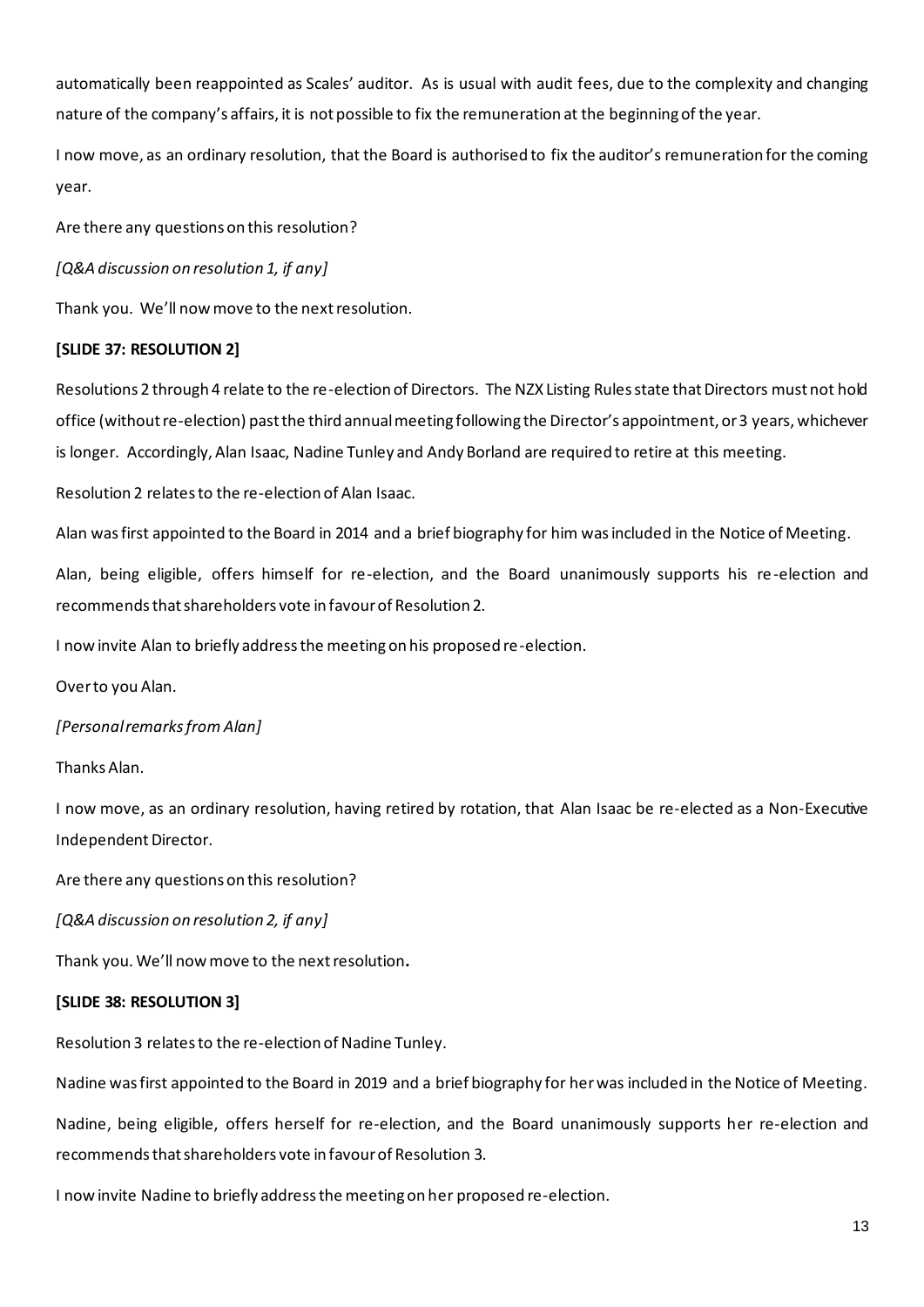automatically been reappointed as Scales' auditor. As is usual with audit fees, due to the complexity and changing nature of the company's affairs, it is not possible to fix the remuneration at the beginning of the year.

I now move, as an ordinary resolution, that the Board is authorised to fix the auditor's remuneration for the coming year.

Are there any questions on this resolution?

*[Q&A discussion on resolution 1, if any]*

Thank you. We'll now move to the next resolution.

# **[SLIDE 37: RESOLUTION 2]**

Resolutions 2 through 4 relate to the re-election of Directors. The NZX Listing Rules state that Directors must not hold office (without re-election) past the third annual meeting following the Director's appointment, or 3 years, whichever is longer. Accordingly, Alan Isaac, Nadine Tunley and Andy Borland are required to retire at this meeting.

Resolution 2 relates to the re-election of Alan Isaac.

Alan was first appointed to the Board in 2014 and a brief biography for him was included in the Notice of Meeting.

Alan, being eligible, offers himself for re-election, and the Board unanimously supports his re-election and recommends that shareholders vote in favour of Resolution 2.

I now invite Alan to briefly address the meeting on his proposed re-election.

Over to you Alan.

# *[Personal remarks from Alan]*

Thanks Alan.

I now move, as an ordinary resolution, having retired by rotation, that Alan Isaac be re-elected as a Non-Executive Independent Director.

Are there any questions on this resolution?

*[Q&A discussion on resolution 2, if any]*

Thank you. We'll now move to the next resolution**.**

# **[SLIDE 38: RESOLUTION 3]**

Resolution 3 relates to the re-election of Nadine Tunley.

Nadine was first appointed to the Board in 2019 and a brief biography for her was included in the Notice of Meeting.

Nadine, being eligible, offers herself for re-election, and the Board unanimously supports her re-election and recommends that shareholders vote in favour of Resolution 3.

I now invite Nadine to briefly address the meeting on her proposed re-election.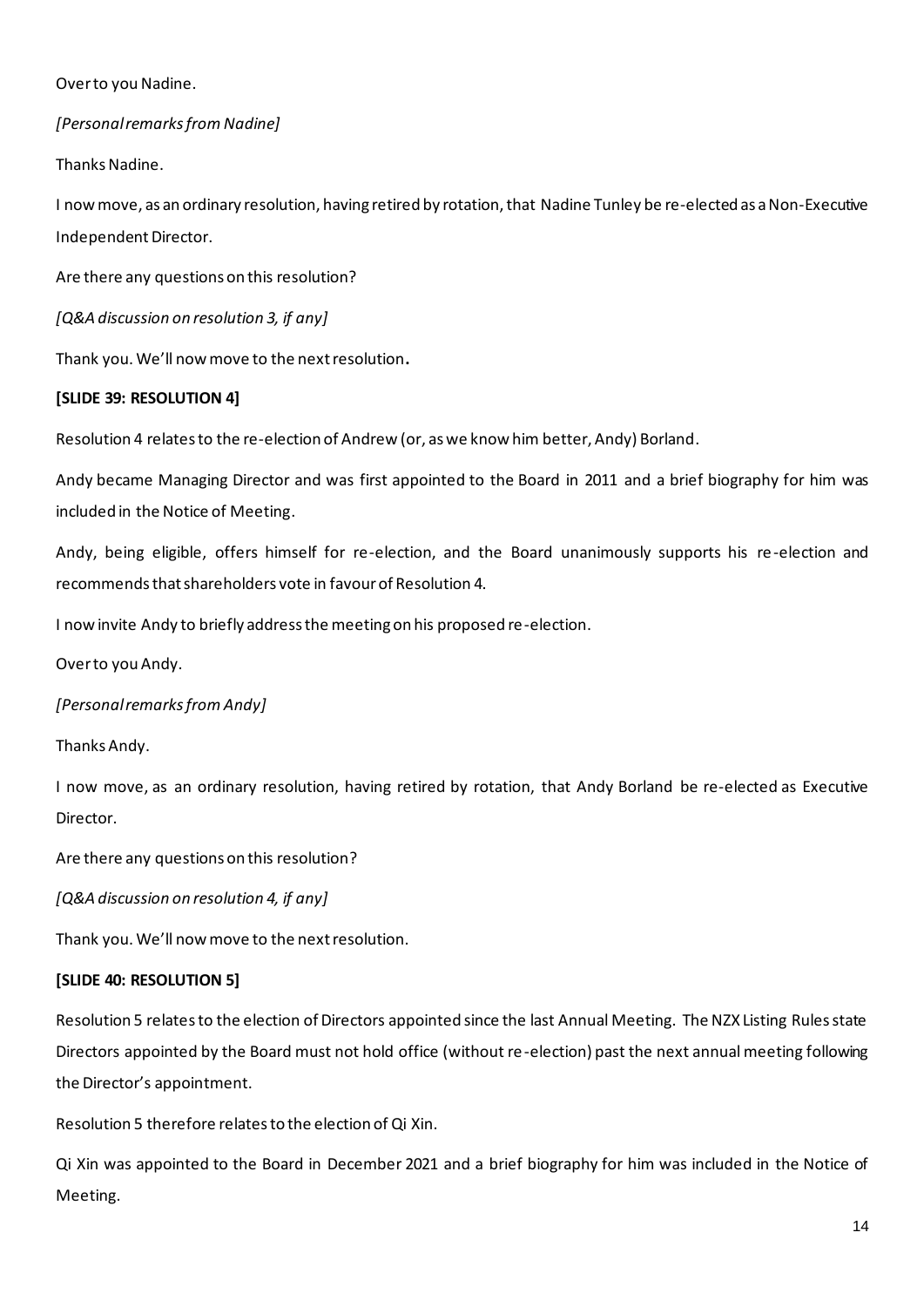### Over to you Nadine.

# *[Personal remarks from Nadine]*

Thanks Nadine.

I now move, as an ordinary resolution, having retired by rotation, that Nadine Tunley be re-elected as a Non-Executive Independent Director.

Are there any questions on this resolution?

*[Q&A discussion on resolution 3, if any]*

Thank you. We'll now move to the next resolution**.**

# **[SLIDE 39: RESOLUTION 4]**

Resolution 4 relates to the re-election of Andrew (or, as we know him better, Andy) Borland.

Andy became Managing Director and was first appointed to the Board in 2011 and a brief biography for him was included in the Notice of Meeting.

Andy, being eligible, offers himself for re-election, and the Board unanimously supports his re-election and recommends that shareholders vote in favour of Resolution 4.

I now invite Andy to briefly address the meeting on his proposed re-election.

Over to you Andy.

*[Personal remarks from Andy]*

Thanks Andy.

I now move, as an ordinary resolution, having retired by rotation, that Andy Borland be re-elected as Executive Director.

Are there any questions on this resolution?

*[Q&A discussion on resolution 4, if any]*

Thank you. We'll now move to the next resolution.

# **[SLIDE 40: RESOLUTION 5]**

Resolution 5 relatesto the election of Directors appointed since the last Annual Meeting. The NZX Listing Rules state Directors appointed by the Board must not hold office (without re-election) past the next annual meeting following the Director's appointment.

Resolution 5 therefore relates to the election of Qi Xin.

Qi Xin was appointed to the Board in December 2021 and a brief biography for him was included in the Notice of Meeting.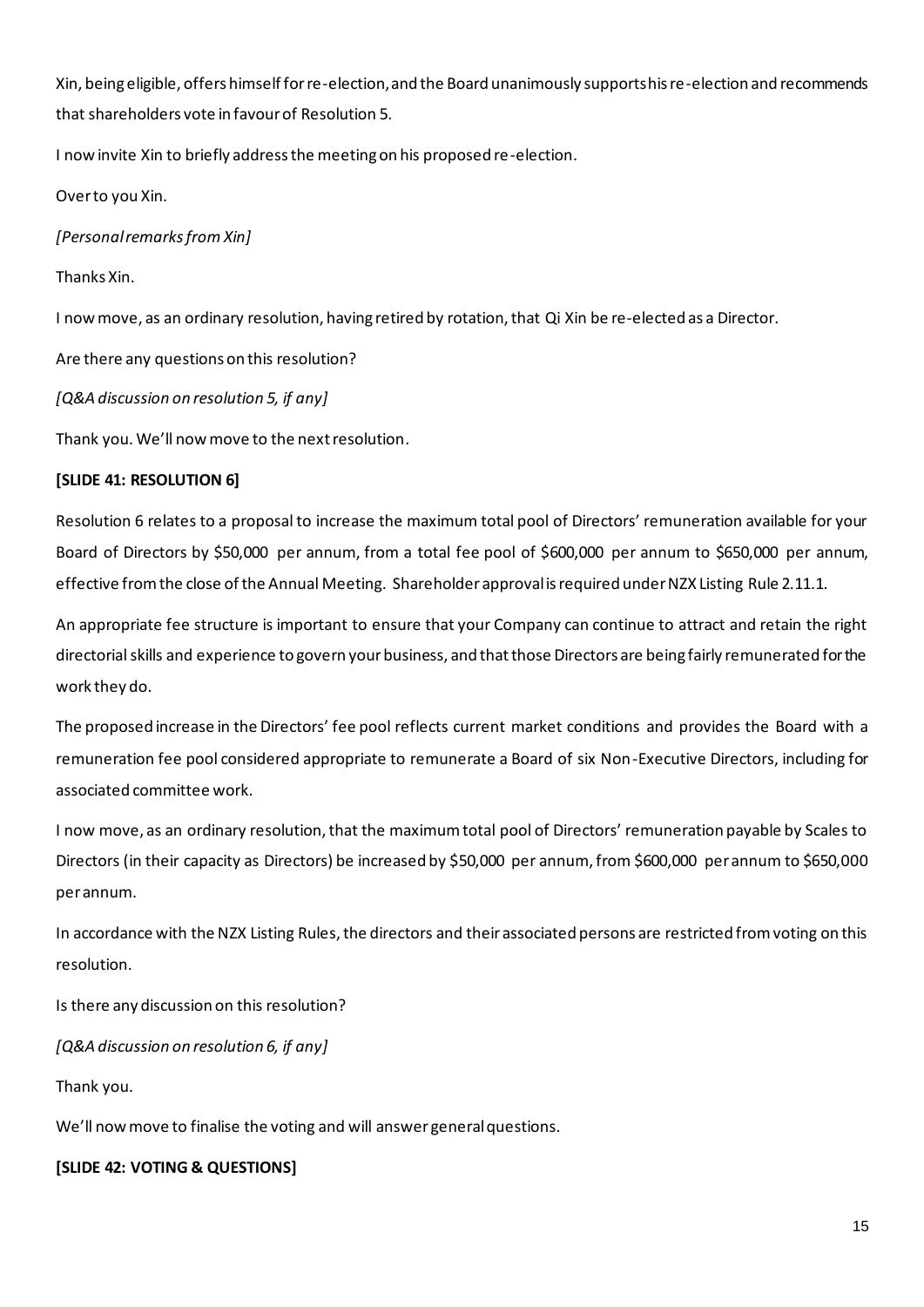Xin, being eligible, offers himself for re-election, and the Board unanimously supports his re-election and recommends that shareholders vote in favour of Resolution 5.

I now invite Xin to briefly address the meeting on his proposed re-election.

Over to you Xin.

*[Personal remarks from Xin]*

Thanks Xin.

I now move, as an ordinary resolution, having retired by rotation, that Qi Xin be re-elected as a Director.

Are there any questions on this resolution?

*[Q&A discussion on resolution 5, if any]*

Thank you. We'll now move to the next resolution.

### **[SLIDE 41: RESOLUTION 6]**

Resolution 6 relates to a proposal to increase the maximum total pool of Directors' remuneration available for your Board of Directors by \$50,000 per annum, from a total fee pool of \$600,000 per annum to \$650,000 per annum, effective from the close of the Annual Meeting. Shareholder approval is required under NZX Listing Rule 2.11.1.

An appropriate fee structure is important to ensure that your Company can continue to attract and retain the right directorial skills and experience to govern your business, and that those Directors are being fairly remunerated for the work they do.

The proposed increase in the Directors' fee pool reflects current market conditions and provides the Board with a remuneration fee pool considered appropriate to remunerate a Board of six Non-Executive Directors, including for associated committee work.

I now move, as an ordinary resolution, that the maximum total pool of Directors' remuneration payable by Scales to Directors (in their capacity as Directors) be increased by \$50,000 per annum, from \$600,000 per annum to \$650,000 per annum.

In accordance with the NZX Listing Rules, the directors and their associated persons are restricted from voting on this resolution.

Is there any discussion on this resolution?

*[Q&A discussion on resolution 6, if any]*

Thank you.

We'll now move to finalise the voting and will answer general questions.

# **[SLIDE 42: VOTING & QUESTIONS]**